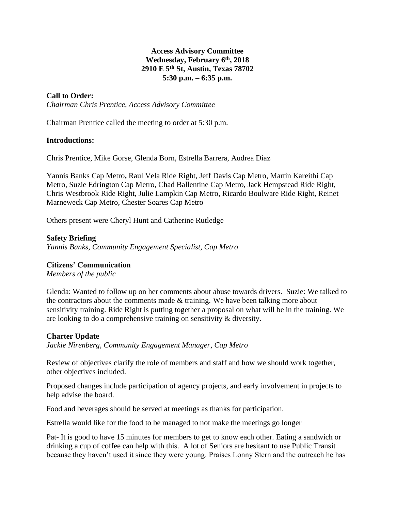# **Access Advisory Committee Wednesday, February 6 th , 2018 2910 E 5th St, Austin, Texas 78702 5:30 p.m. – 6:35 p.m.**

# **Call to Order:**

*Chairman Chris Prentice, Access Advisory Committee*

Chairman Prentice called the meeting to order at 5:30 p.m.

#### **Introductions:**

Chris Prentice, Mike Gorse, Glenda Born, Estrella Barrera, Audrea Diaz

Yannis Banks Cap Metro**,** Raul Vela Ride Right, Jeff Davis Cap Metro, Martin Kareithi Cap Metro, Suzie Edrington Cap Metro, Chad Ballentine Cap Metro, Jack Hempstead Ride Right, Chris Westbrook Ride Right, Julie Lampkin Cap Metro, Ricardo Boulware Ride Right, Reinet Marneweck Cap Metro, Chester Soares Cap Metro

Others present were Cheryl Hunt and Catherine Rutledge

### **Safety Briefing**

*Yannis Banks, Community Engagement Specialist, Cap Metro* 

### **Citizens' Communication**

*Members of the public*

Glenda: Wanted to follow up on her comments about abuse towards drivers. Suzie: We talked to the contractors about the comments made  $&$  training. We have been talking more about sensitivity training. Ride Right is putting together a proposal on what will be in the training. We are looking to do a comprehensive training on sensitivity & diversity.

#### **Charter Update**

*Jackie Nirenberg, Community Engagement Manager, Cap Metro*

Review of objectives clarify the role of members and staff and how we should work together, other objectives included.

Proposed changes include participation of agency projects, and early involvement in projects to help advise the board.

Food and beverages should be served at meetings as thanks for participation.

Estrella would like for the food to be managed to not make the meetings go longer

Pat- It is good to have 15 minutes for members to get to know each other. Eating a sandwich or drinking a cup of coffee can help with this. A lot of Seniors are hesitant to use Public Transit because they haven't used it since they were young. Praises Lonny Stern and the outreach he has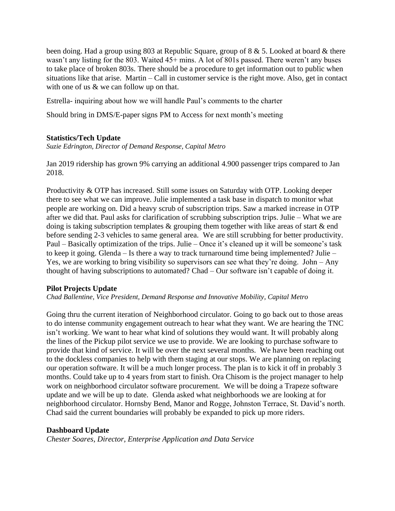been doing. Had a group using 803 at Republic Square, group of 8 & 5. Looked at board & there wasn't any listing for the 803. Waited 45+ mins. A lot of 801s passed. There weren't any buses to take place of broken 803s. There should be a procedure to get information out to public when situations like that arise. Martin – Call in customer service is the right move. Also, get in contact with one of us & we can follow up on that.

Estrella- inquiring about how we will handle Paul's comments to the charter

Should bring in DMS/E-paper signs PM to Access for next month's meeting

# **Statistics/Tech Update**

*Suzie Edrington, Director of Demand Response, Capital Metro*

Jan 2019 ridership has grown 9% carrying an additional 4.900 passenger trips compared to Jan 2018.

Productivity & OTP has increased. Still some issues on Saturday with OTP. Looking deeper there to see what we can improve. Julie implemented a task base in dispatch to monitor what people are working on. Did a heavy scrub of subscription trips. Saw a marked increase in OTP after we did that. Paul asks for clarification of scrubbing subscription trips. Julie – What we are doing is taking subscription templates & grouping them together with like areas of start & end before sending 2-3 vehicles to same general area. We are still scrubbing for better productivity. Paul – Basically optimization of the trips. Julie – Once it's cleaned up it will be someone's task to keep it going. Glenda – Is there a way to track turnaround time being implemented? Julie – Yes, we are working to bring visibility so supervisors can see what they're doing. John – Any thought of having subscriptions to automated? Chad – Our software isn't capable of doing it.

### **Pilot Projects Update**

*Chad Ballentine, Vice President, Demand Response and Innovative Mobility, Capital Metro*

Going thru the current iteration of Neighborhood circulator. Going to go back out to those areas to do intense community engagement outreach to hear what they want. We are hearing the TNC isn't working. We want to hear what kind of solutions they would want. It will probably along the lines of the Pickup pilot service we use to provide. We are looking to purchase software to provide that kind of service. It will be over the next several months. We have been reaching out to the dockless companies to help with them staging at our stops. We are planning on replacing our operation software. It will be a much longer process. The plan is to kick it off in probably 3 months. Could take up to 4 years from start to finish. Ora Chisom is the project manager to help work on neighborhood circulator software procurement. We will be doing a Trapeze software update and we will be up to date. Glenda asked what neighborhoods we are looking at for neighborhood circulator. Hornsby Bend, Manor and Rogge, Johnston Terrace, St. David's north. Chad said the current boundaries will probably be expanded to pick up more riders.

# **Dashboard Update**

*Chester Soares, Director, Enterprise Application and Data Service*